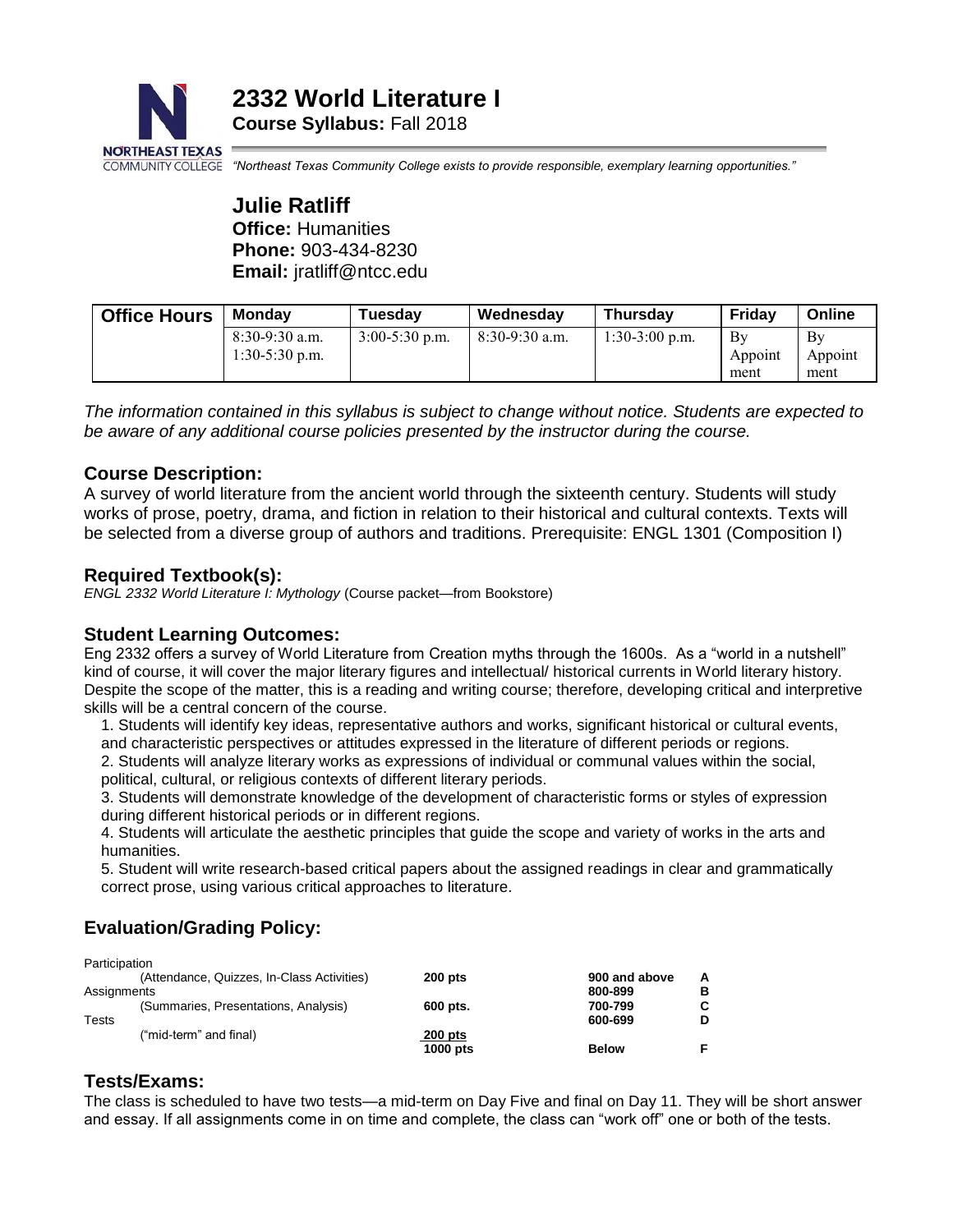

*"Northeast Texas Community College exists to provide responsible, exemplary learning opportunities."*

**Julie Ratliff Office:** Humanities **Phone:** 903-434-8230 **Email:** jratliff@ntcc.edu

| <b>Office Hours</b> | Mondav                               | Tuesday          | Wednesday        | <b>Thursdav</b>  | Friday                | Online                |
|---------------------|--------------------------------------|------------------|------------------|------------------|-----------------------|-----------------------|
|                     | $8:30-9:30$ a.m.<br>$1:30-5:30$ p.m. | $3:00-5:30$ p.m. | $8:30-9:30$ a.m. | $1:30-3:00$ p.m. | Bv<br>Appoint<br>ment | Bv<br>Appoint<br>ment |

*The information contained in this syllabus is subject to change without notice. Students are expected to be aware of any additional course policies presented by the instructor during the course.*

## **Course Description:**

A survey of world literature from the ancient world through the sixteenth century. Students will study works of prose, poetry, drama, and fiction in relation to their historical and cultural contexts. Texts will be selected from a diverse group of authors and traditions. Prerequisite: ENGL 1301 (Composition I)

### **Required Textbook(s):**

*ENGL 2332 World Literature I: Mythology* (Course packet—from Bookstore)

#### **Student Learning Outcomes:**

Eng 2332 offers a survey of World Literature from Creation myths through the 1600s. As a "world in a nutshell" kind of course, it will cover the major literary figures and intellectual/ historical currents in World literary history. Despite the scope of the matter, this is a reading and writing course; therefore, developing critical and interpretive skills will be a central concern of the course.

1. Students will identify key ideas, representative authors and works, significant historical or cultural events, and characteristic perspectives or attitudes expressed in the literature of different periods or regions.

2. Students will analyze literary works as expressions of individual or communal values within the social, political, cultural, or religious contexts of different literary periods.

3. Students will demonstrate knowledge of the development of characteristic forms or styles of expression during different historical periods or in different regions.

4. Students will articulate the aesthetic principles that guide the scope and variety of works in the arts and humanities.

5. Student will write research-based critical papers about the assigned readings in clear and grammatically correct prose, using various critical approaches to literature.

# **Evaluation/Grading Policy:**

| Participation |                                            |           |               |    |
|---------------|--------------------------------------------|-----------|---------------|----|
|               | (Attendance, Quizzes, In-Class Activities) | $200$ pts | 900 and above | A  |
| Assignments   |                                            |           | 800-899       | в  |
|               | (Summaries, Presentations, Analysis)       | 600 pts.  | 700-799       | C. |
| <b>Tests</b>  |                                            |           | 600-699       | D  |
|               | ("mid-term" and final)                     | $200$ pts |               |    |
|               |                                            | 1000 pts  | <b>Below</b>  |    |

## **Tests/Exams:**

The class is scheduled to have two tests—a mid-term on Day Five and final on Day 11. They will be short answer and essay. If all assignments come in on time and complete, the class can "work off" one or both of the tests.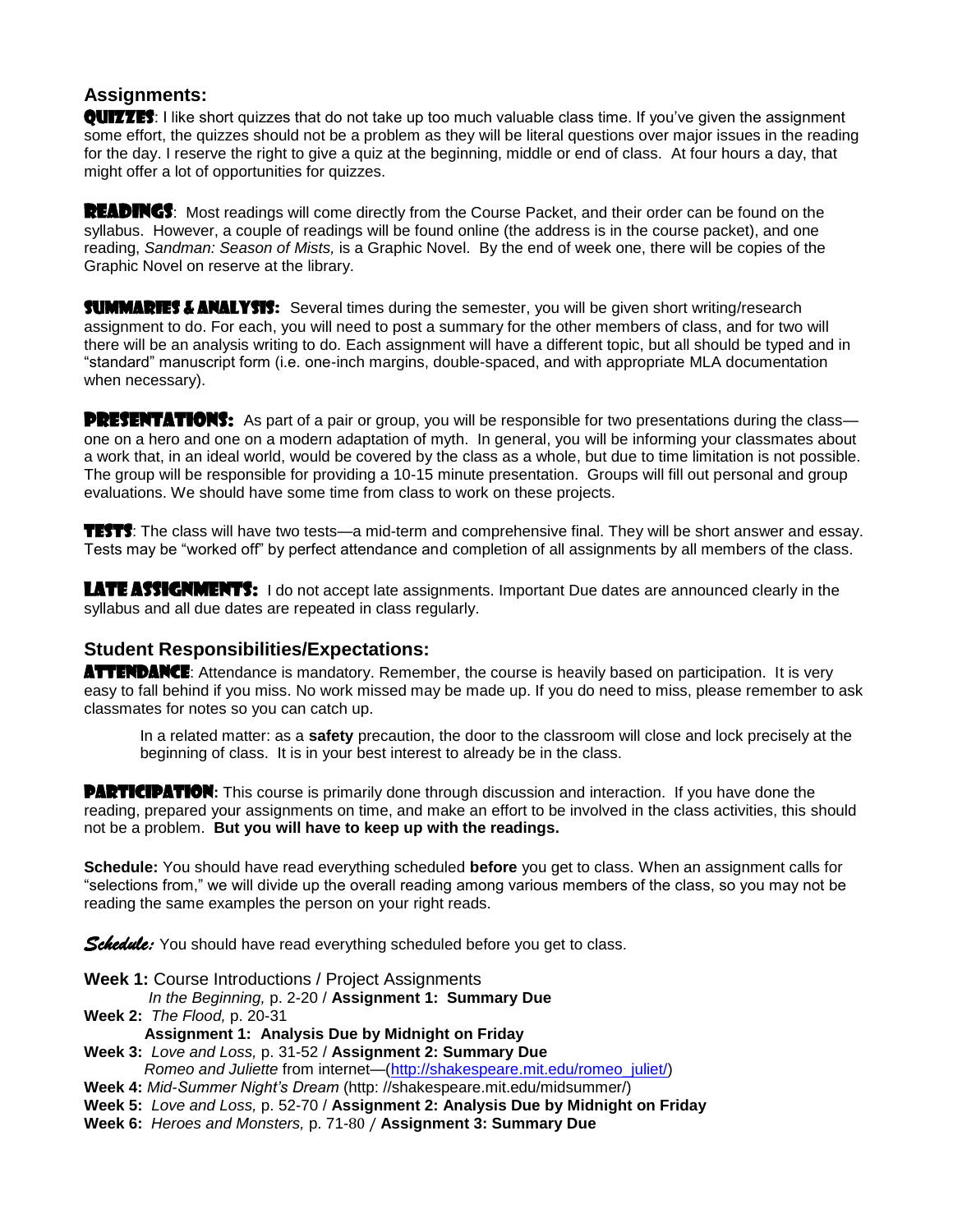### **Assignments:**

QUITTES: I like short quizzes that do not take up too much valuable class time. If you've given the assignment some effort, the quizzes should not be a problem as they will be literal questions over major issues in the reading for the day. I reserve the right to give a quiz at the beginning, middle or end of class. At four hours a day, that might offer a lot of opportunities for quizzes.

READINGS: Most readings will come directly from the Course Packet, and their order can be found on the syllabus. However, a couple of readings will be found online (the address is in the course packet), and one reading, *Sandman: Season of Mists,* is a Graphic Novel. By the end of week one, there will be copies of the Graphic Novel on reserve at the library.

**SUMMARIES & ANALYSIS:** Several times during the semester, you will be given short writing/research assignment to do. For each, you will need to post a summary for the other members of class, and for two will there will be an analysis writing to do. Each assignment will have a different topic, but all should be typed and in "standard" manuscript form (i.e. one-inch margins, double-spaced, and with appropriate MLA documentation when necessary).

**PRESENTATIONS:** As part of a pair or group, you will be responsible for two presentations during the class one on a hero and one on a modern adaptation of myth. In general, you will be informing your classmates about a work that, in an ideal world, would be covered by the class as a whole, but due to time limitation is not possible. The group will be responsible for providing a 10-15 minute presentation. Groups will fill out personal and group evaluations. We should have some time from class to work on these projects.

TESTS: The class will have two tests—a mid-term and comprehensive final. They will be short answer and essay. Tests may be "worked off" by perfect attendance and completion of all assignments by all members of the class.

LATE ASSIGNMENTS: I do not accept late assignments. Important Due dates are announced clearly in the syllabus and all due dates are repeated in class regularly.

#### **Student Responsibilities/Expectations:**

**ATTENDANCE:** Attendance is mandatory. Remember, the course is heavily based on participation. It is very easy to fall behind if you miss. No work missed may be made up. If you do need to miss, please remember to ask classmates for notes so you can catch up.

In a related matter: as a **safety** precaution, the door to the classroom will close and lock precisely at the beginning of class. It is in your best interest to already be in the class.

**PARTICIPATION:** This course is primarily done through discussion and interaction. If you have done the reading, prepared your assignments on time, and make an effort to be involved in the class activities, this should not be a problem. **But you will have to keep up with the readings.**

**Schedule:** You should have read everything scheduled **before** you get to class. When an assignment calls for "selections from," we will divide up the overall reading among various members of the class, so you may not be reading the same examples the person on your right reads.

*Schedule:* You should have read everything scheduled before you get to class.

- **Week 1:** Course Introductions / Project Assignments
- *In the Beginning,* p. 2-20 / **Assignment 1: Summary Due**
- **Week 2:** *The Flood,* p. 20-31
	- **Assignment 1: Analysis Due by Midnight on Friday**

**Week 3:** *Love and Loss,* p. 31-52 / **Assignment 2: Summary Due**

*Romeo and Juliette* from internet—[\(http://shakespeare.mit.edu/romeo\\_juliet/\)](http://shakespeare.mit.edu/romeo_juliet/)

- **Week 4:** *Mid-Summer Night's Dream* (http: //shakespeare.mit.edu/midsummer/)
- **Week 5:** *Love and Loss,* p. 52-70 / **Assignment 2: Analysis Due by Midnight on Friday**
- **Week 6:** *Heroes and Monsters,* p. 71-80 / **Assignment 3: Summary Due**